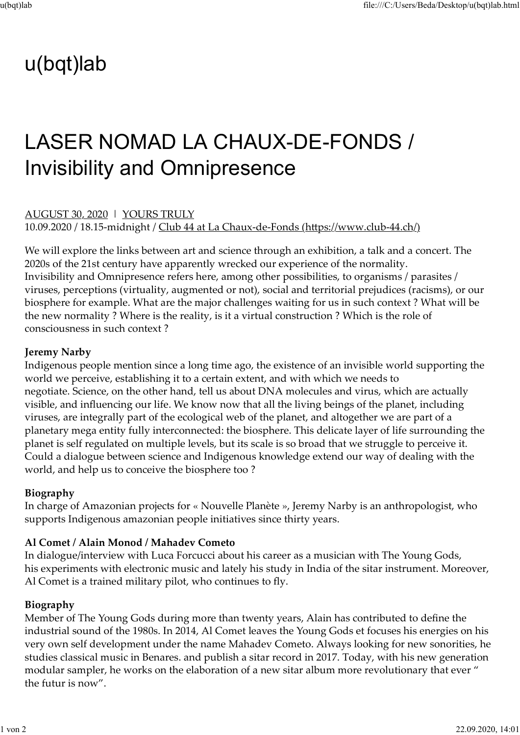## u(bqt)lab

# LASER NOMAD LA CHAUX-DE-FONDS / Invisibility and Omnipresence tile://C:/<br> **U(bqt)lab**<br> **LASER NOMAD LA CHAUX-DE-FONDS**<br>
Invisibility and Omnipresence<br>
AUGUST 30, 2020 | YOURS TRULY<br>
10.09.2020 / 18.15-midnight / <u>Club 44 at La Chaux-de-Fonds (https://www.club-4</u><br>
We will explore the

10.09.2020 / 18.15-midnight / Club 44 at La Chaux-de-Fonds (https://www.club-44.ch/)

We will explore the links between art and science through an exhibition, a talk and a concert. The 2020s of the 21st century have apparently wrecked our experience of the normality. Invisibility and Omnipresence refers here, among other possibilities, to organisms / parasites / viruses, perceptions (virtuality, augmented or not), social and territorial prejudices (racisms), or our biosphere for example. What are the major challenges waiting for us in such context ? What will be the new normality ? Where is the reality, is it a virtual construction ? Which is the role of consciousness in such context ?

#### Jeremy Narby

Indigenous people mention since a long time ago, the existence of an invisible world supporting the world we perceive, establishing it to a certain extent, and with which we needs to negotiate. Science, on the other hand, tell us about DNA molecules and virus, which are actually visible, and influencing our life. We know now that all the living beings of the planet, including viruses, are integrally part of the ecological web of the planet, and altogether we are part of a planetary mega entity fully interconnected: the biosphere. This delicate layer of life surrounding the planet is self regulated on multiple levels, but its scale is so broad that we struggle to perceive it. Could a dialogue between science and Indigenous knowledge extend our way of dealing with the world, and help us to conceive the biosphere too ?

#### Biography

In charge of Amazonian projects for « Nouvelle Planète », Jeremy Narby is an anthropologist, who supports Indigenous amazonian people initiatives since thirty years.

#### Al Comet / Alain Monod / Mahadev Cometo

In dialogue/interview with Luca Forcucci about his career as a musician with The Young Gods, his experiments with electronic music and lately his study in India of the sitar instrument. Moreover, Al Comet is a trained military pilot, who continues to fly.

#### Biography

Member of The Young Gods during more than twenty years, Alain has contributed to define the industrial sound of the 1980s. In 2014, Al Comet leaves the Young Gods et focuses his energies on his very own self development under the name Mahadev Cometo. Always looking for new sonorities, he studies classical music in Benares. and publish a sitar record in 2017. Today, with his new generation modular sampler, he works on the elaboration of a new sitar album more revolutionary that ever " the futur is now".